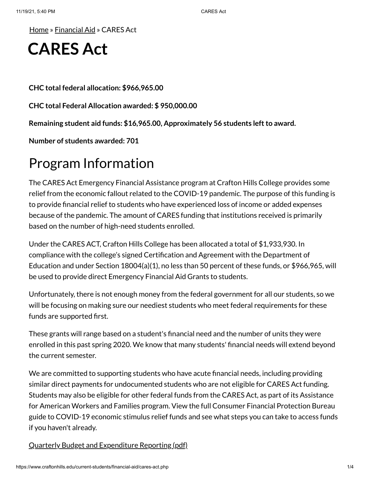[Home](https://www.craftonhills.edu/index.php) » [Financial](https://www.craftonhills.edu/current-students/financial-aid/index.php) Aid » CARES Act

# **CARES Act**

**CHC total federal allocation: \$966,965.00**

**CHC total Federal Allocation awarded: \$ 950,000.00**

**Remaining student aid funds: \$16,965.00, Approximately 56 students leftto award.**

**Number of students awarded: 701**

### Program Information

The CARES Act Emergency Financial Assistance program at Crafton Hills College provides some relief from the economic fallout related to the COVID-19 pandemic. The purpose of this funding is to provide financial relief to students who have experienced loss of income or added expenses because of the pandemic. The amount of CARES funding that institutions received is primarily based on the number of high-need students enrolled.

Under the CARES ACT, Crafton Hills College has been allocated a total of \$1,933,930. In compliance with the college's signed Certification and Agreement with the Department of Education and under Section 18004(a)(1), no less than 50 percent of these funds, or \$966,965, will be used to provide direct Emergency Financial Aid Grants to students.

Unfortunately, there is not enough money from the federal government for all our students, so we will be focusing on making sure our neediest students who meet federal requirements for these funds are supported first.

These grants will range based on a student's financial need and the number of units they were enrolled in this past spring 2020. We know that many students' financial needs will extend beyond the current semester.

We are committed to supporting students who have acute financial needs, including providing similar direct payments for undocumented students who are not eligible for CARES Act funding. Students may also be eligible for other federal funds from the CARES Act, as part of its Assistance for American Workers and Families program. View the full Consumer Financial Protection Bureau guide to COVID-19 economic stimulus relief funds and see what steps you can take to access funds if you haven't already.

Quarterly Budget [and Expenditure](https://www.craftonhills.edu/current-students/financial-aid/documents/chc-heerf-quarterly-reporting-v131.pdf) Reporting (pdf)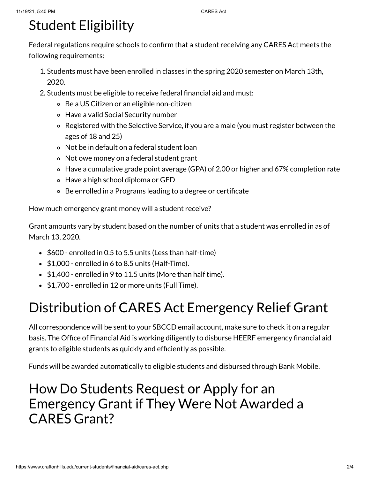# Student Eligibility

Federal regulations require schools to confirm that a student receiving any CARES Act meets the following requirements:

- 1. Students must have been enrolled in classes in the spring 2020 semester on March 13th, 2020.
- 2. Students must be eligible to receive federal financial aid and must:
	- Be a US Citizen or an eligible non-citizen
	- Have a valid Social Security number
	- Registered with the Selective Service, if you are a male (you must register between the ages of 18 and 25)
	- Not be in default on a federal student loan
	- Not owe money on a federal student grant
	- Have a cumulative grade point average (GPA) of 2.00 or higher and 67% completion rate
	- Have a high school diploma or GED
	- Be enrolled in a Programs leading to a degree or certificate

How much emergency grant money will a student receive?

Grant amounts vary by student based on the number of units that a student was enrolled in as of March 13, 2020.

- $\bullet$  \$600 enrolled in 0.5 to 5.5 units (Less than half-time)
- $\bullet$  \$1,000 enrolled in 6 to 8.5 units (Half-Time).
- $\bullet$  \$1,400 enrolled in 9 to 11.5 units (More than half time).
- \$1,700 enrolled in 12 or more units (Full Time).

## Distribution of CARES Act Emergency Relief Grant

All correspondence will be sent to your SBCCD email account, make sure to check it on a regular basis. The Office of Financial Aid is working diligently to disburse HEERF emergency financial aid grants to eligible students as quickly and efficiently as possible.

Funds will be awarded automatically to eligible students and disbursed through Bank Mobile.

### How Do Students Request or Apply for an Emergency Grant if They Were Not Awarded a CARES Grant?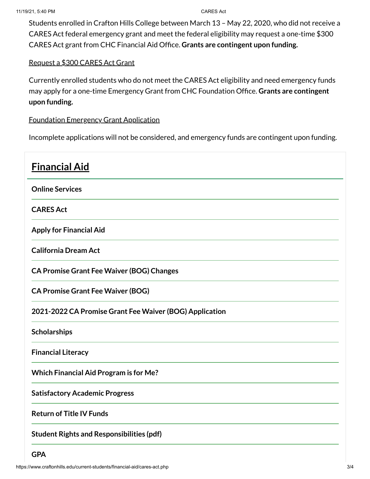Students enrolled in Crafton Hills College between March 13 – May 22, 2020, who did not receive a CARES Act federal emergency grant and meet the federal eligibility may request a one-time \$300 CARES Act grant from CHC Financial Aid Office. **Grants are contingent upon funding.**

#### [Request](https://www.craftonhills.edu/Apps/sso/?target=cares) a \$300 CARES Act Grant

Currently enrolled students who do not meet the CARES Act eligibility and need emergency funds may apply for a one-time Emergency Grant from CHC Foundation Office. **Grants are contingent upon funding.**

#### [Foundation](https://laserfiche.craftonhills.edu/Forms/KliL5) Emergency Grant Application

Incomplete applications will not be considered, and emergency funds are contingent upon funding.

| <b>Financial Aid</b>                                    |
|---------------------------------------------------------|
| <b>Online Services</b>                                  |
| <b>CARES Act</b>                                        |
| <b>Apply for Financial Aid</b>                          |
| <b>California Dream Act</b>                             |
| <b>CA Promise Grant Fee Waiver (BOG) Changes</b>        |
| <b>CA Promise Grant Fee Waiver (BOG)</b>                |
| 2021-2022 CA Promise Grant Fee Waiver (BOG) Application |
| <b>Scholarships</b>                                     |
| <b>Financial Literacy</b>                               |
| <b>Which Financial Aid Program is for Me?</b>           |
| <b>Satisfactory Academic Progress</b>                   |
| <b>Return of Title IV Funds</b>                         |
| <b>Student Rights and Responsibilities (pdf)</b>        |

**[GPA](https://www.craftonhills.edu/current-students/financial-aid/gpa)**